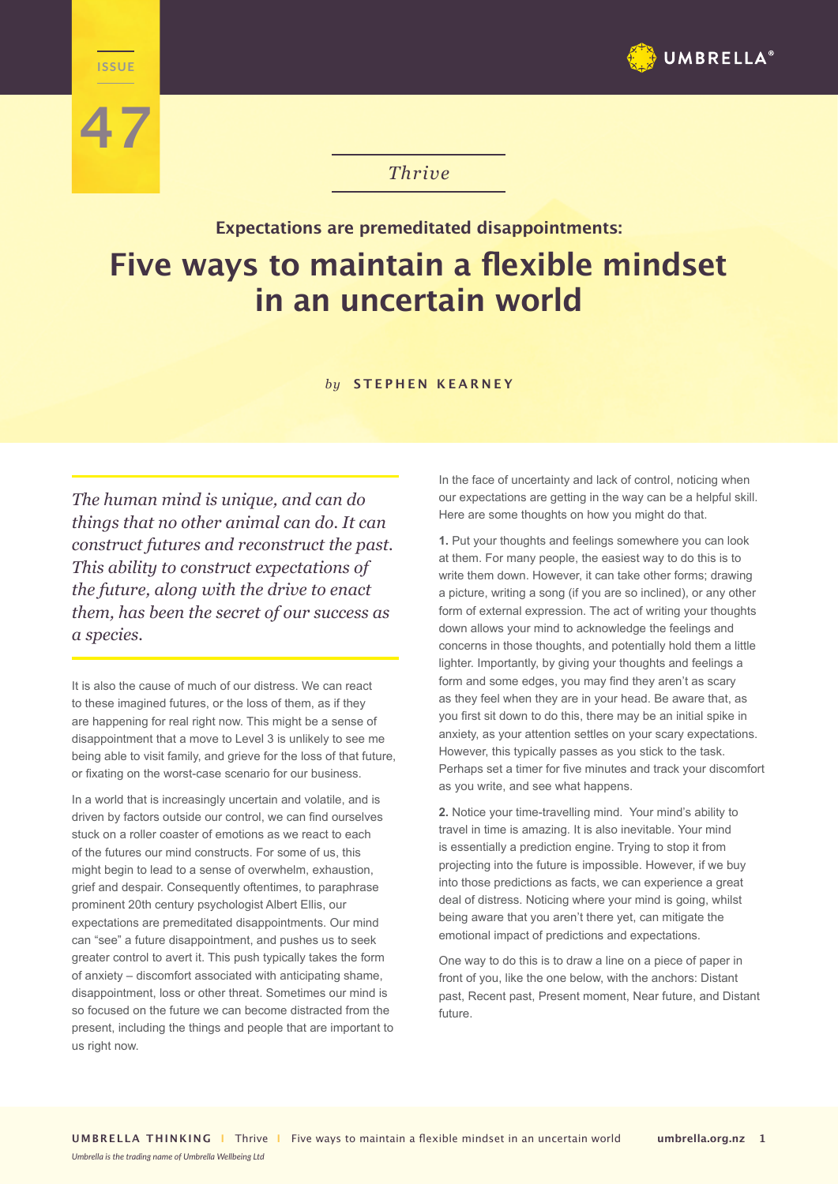





## *Thrive*

## **Expectations are premeditated disappointments: Five ways to maintain a flexible mindset in an uncertain world**

## *by* **STEPHEN KEARNEY**

*The human mind is unique, and can do things that no other animal can do. It can construct futures and reconstruct the past. This ability to construct expectations of the future, along with the drive to enact them, has been the secret of our success as a species.* 

It is also the cause of much of our distress. We can react to these imagined futures, or the loss of them, as if they are happening for real right now. This might be a sense of disappointment that a move to Level 3 is unlikely to see me being able to visit family, and grieve for the loss of that future, or fixating on the worst-case scenario for our business.

In a world that is increasingly uncertain and volatile, and is driven by factors outside our control, we can find ourselves stuck on a roller coaster of emotions as we react to each of the futures our mind constructs. For some of us, this might begin to lead to a sense of overwhelm, exhaustion, grief and despair. Consequently oftentimes, to paraphrase prominent 20th century psychologist Albert Ellis, our expectations are premeditated disappointments. Our mind can "see" a future disappointment, and pushes us to seek greater control to avert it. This push typically takes the form of anxiety – discomfort associated with anticipating shame, disappointment, loss or other threat. Sometimes our mind is so focused on the future we can become distracted from the present, including the things and people that are important to us right now.

In the face of uncertainty and lack of control, noticing when our expectations are getting in the way can be a helpful skill. Here are some thoughts on how you might do that.

**1.** Put your thoughts and feelings somewhere you can look at them. For many people, the easiest way to do this is to write them down. However, it can take other forms; drawing a picture, writing a song (if you are so inclined), or any other form of external expression. The act of writing your thoughts down allows your mind to acknowledge the feelings and concerns in those thoughts, and potentially hold them a little lighter. Importantly, by giving your thoughts and feelings a form and some edges, you may find they aren't as scary as they feel when they are in your head. Be aware that, as you first sit down to do this, there may be an initial spike in anxiety, as your attention settles on your scary expectations. However, this typically passes as you stick to the task. Perhaps set a timer for five minutes and track your discomfort as you write, and see what happens.

**2.** Notice your time-travelling mind. Your mind's ability to travel in time is amazing. It is also inevitable. Your mind is essentially a prediction engine. Trying to stop it from projecting into the future is impossible. However, if we buy into those predictions as facts, we can experience a great deal of distress. Noticing where your mind is going, whilst being aware that you aren't there yet, can mitigate the emotional impact of predictions and expectations.

One way to do this is to draw a line on a piece of paper in front of you, like the one below, with the anchors: Distant past, Recent past, Present moment, Near future, and Distant future.